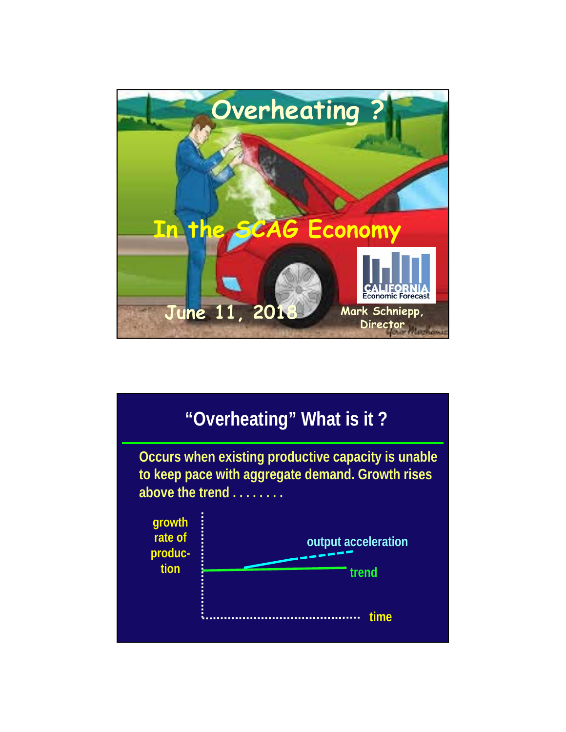

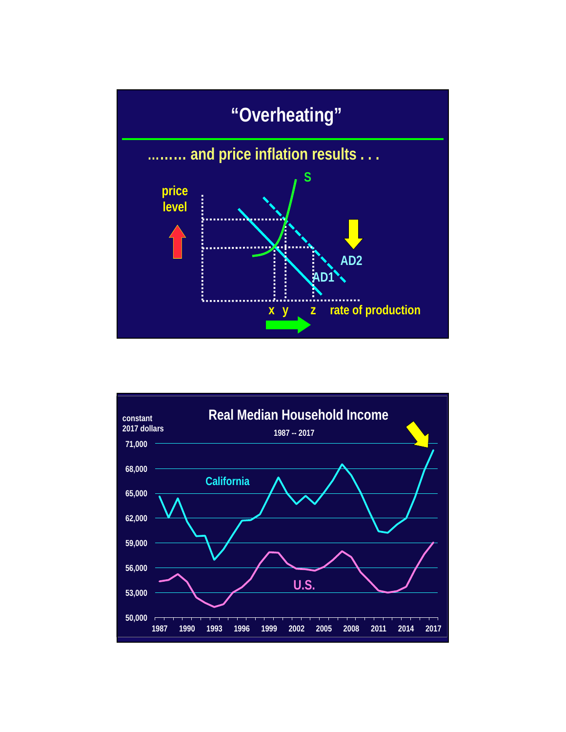

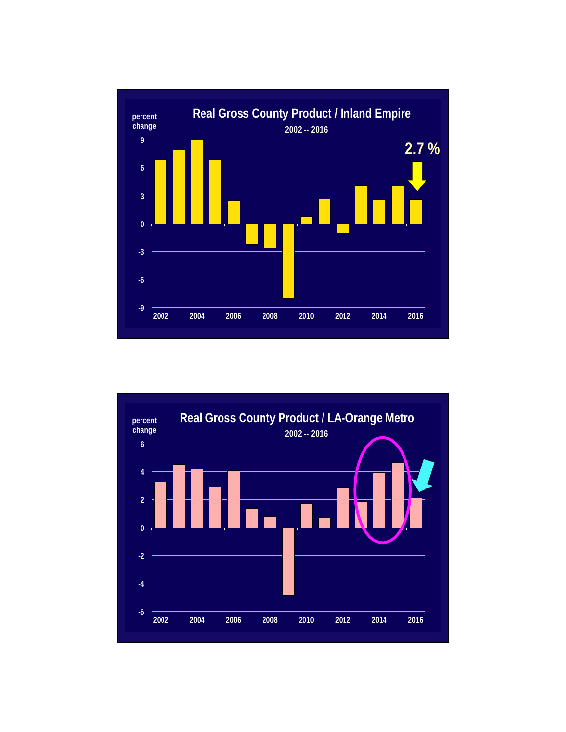

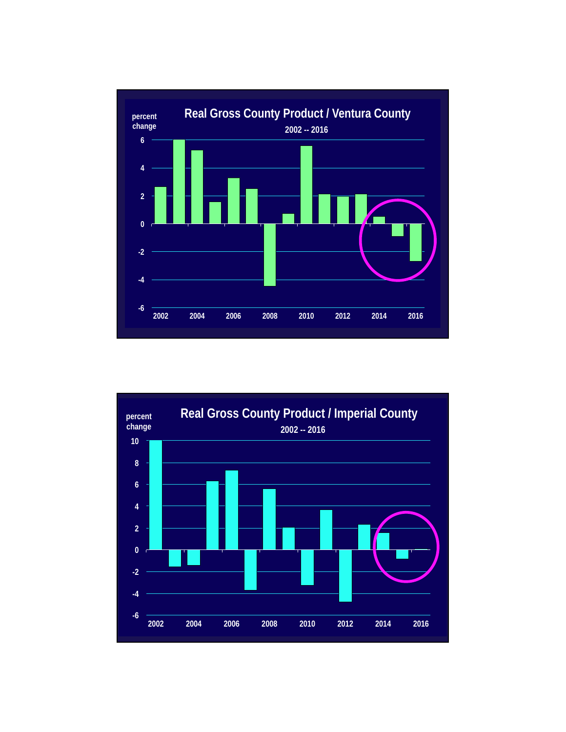

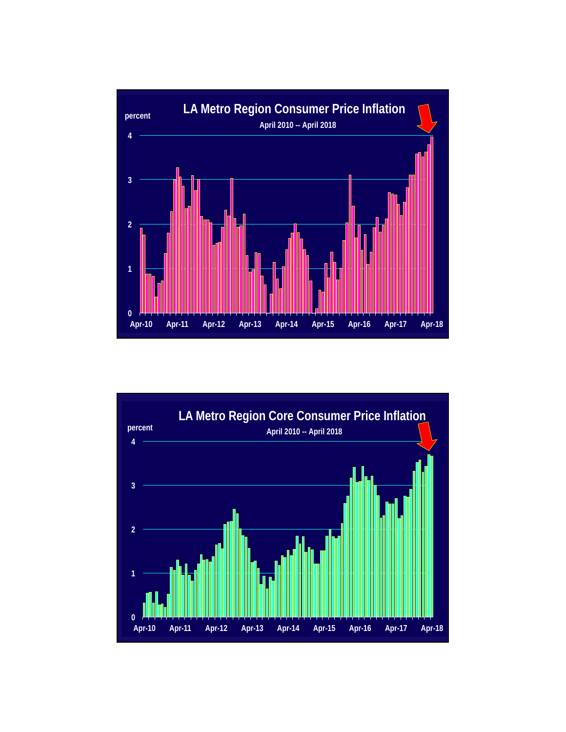

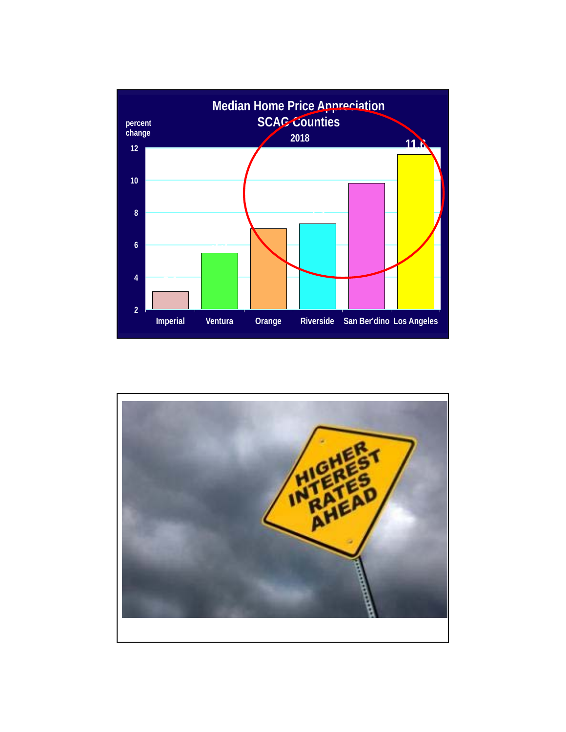

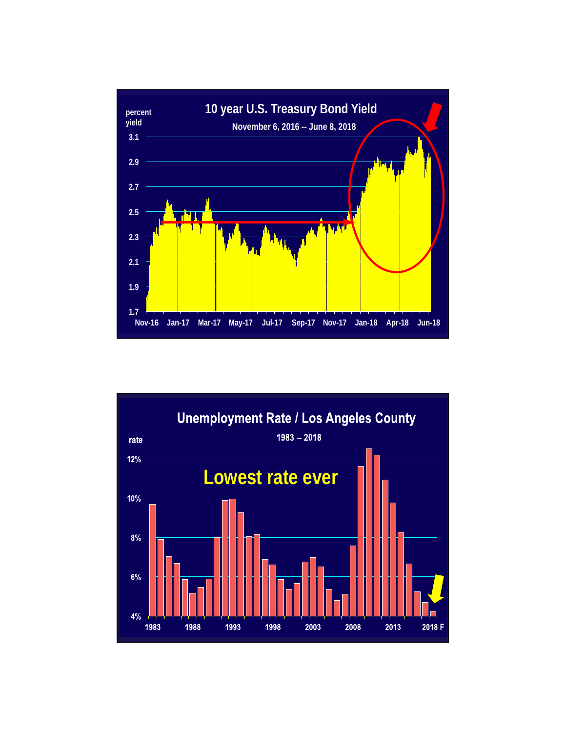

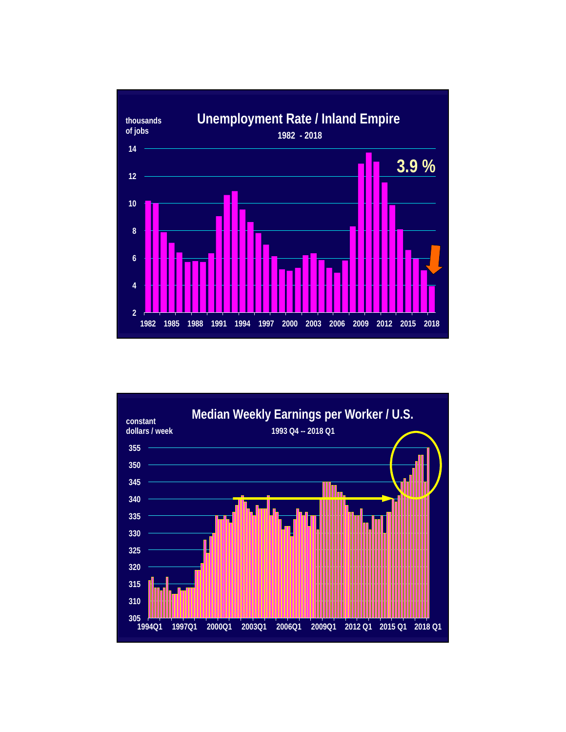

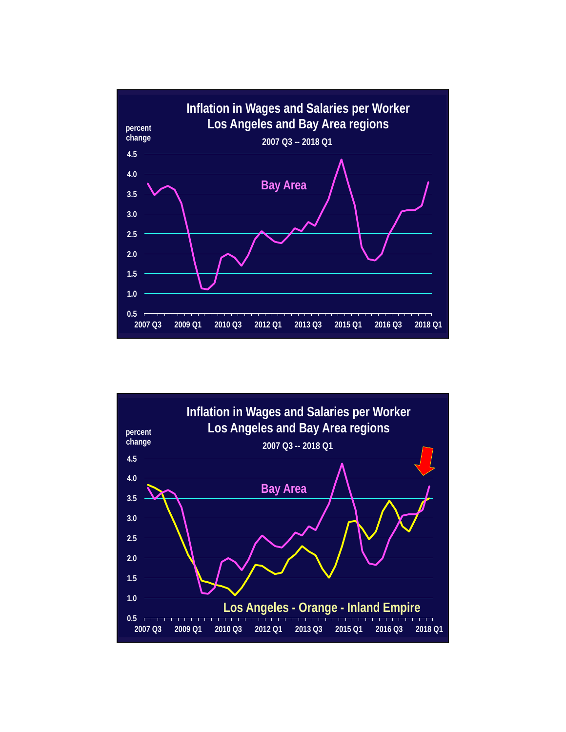

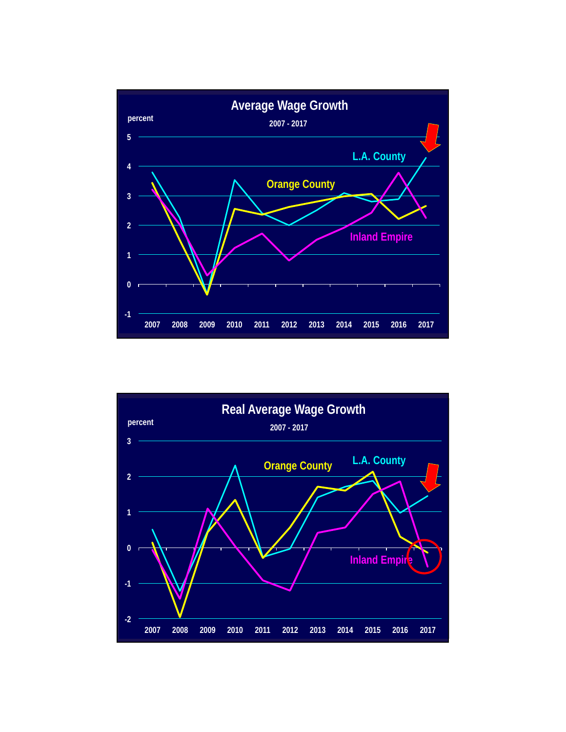

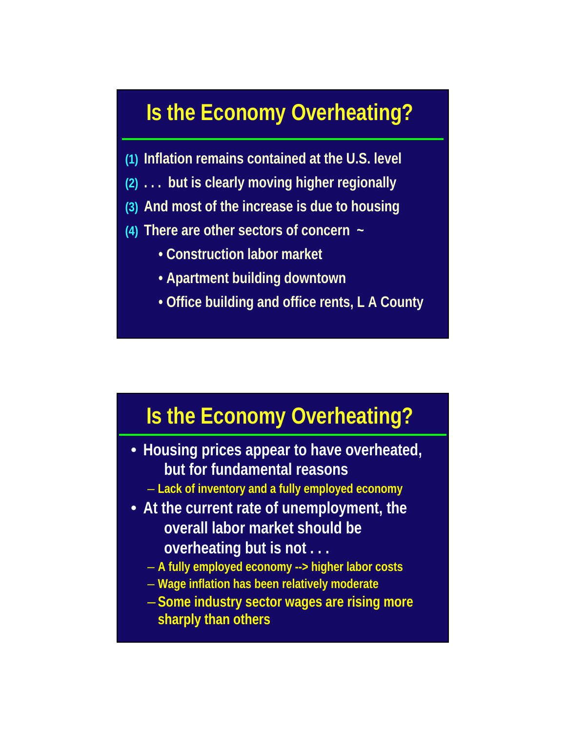## **Is the Economy Overheating?**

- **(1) Inflation remains contained at the U.S. level**
- **(2) . . . but is clearly moving higher regionally**
- **(3) And most of the increase is due to housing**
- **(4) There are other sectors of concern ~**
	- **Construction labor market**
	- **Apartment building downtown**
	- **Office building and office rents, L A County**

## **Is the Economy Overheating?**

- **Housing prices appear to have overheated, but for fundamental reasons**
	- **Lack of inventory and a fully employed economy**
- **At the current rate of unemployment, the overall labor market should be overheating but is not . . .** 
	- **A fully employed economy --> higher labor costs**
	- **Wage inflation has been relatively moderate**
	- **Some industry sector wages are rising more sharply than others**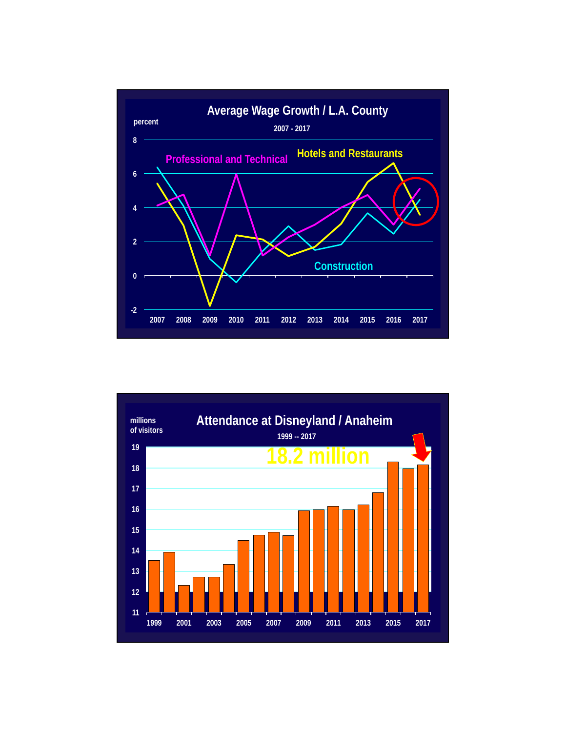

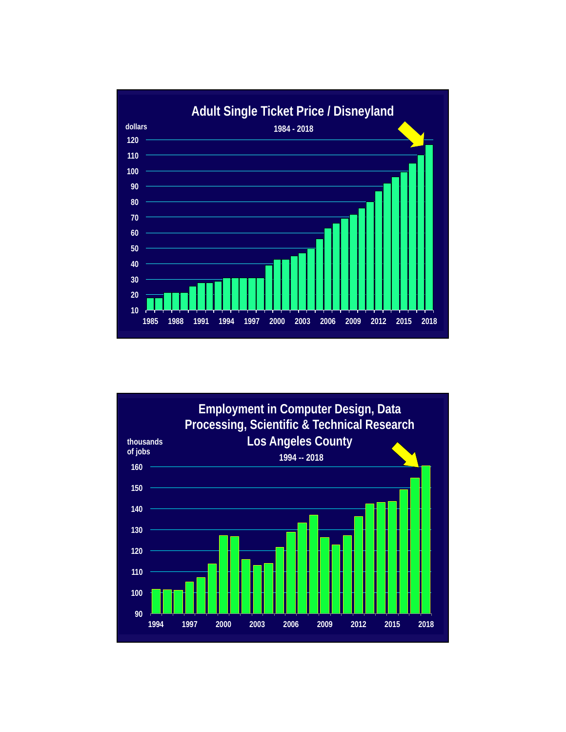

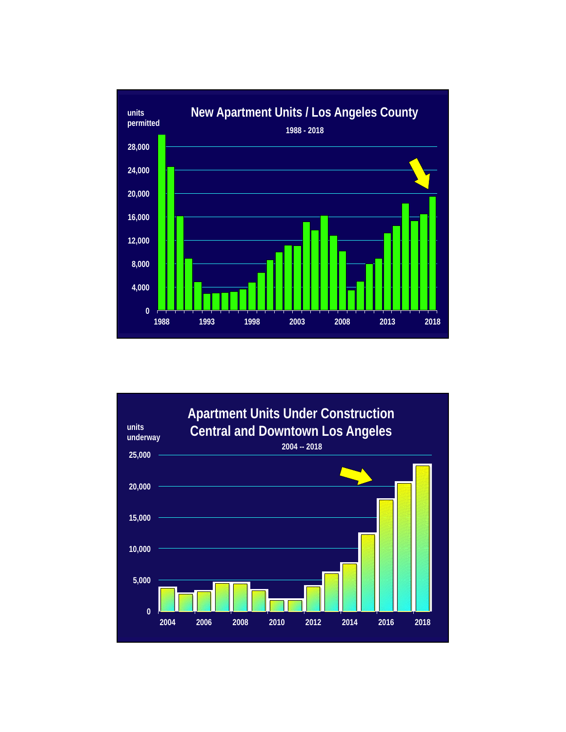

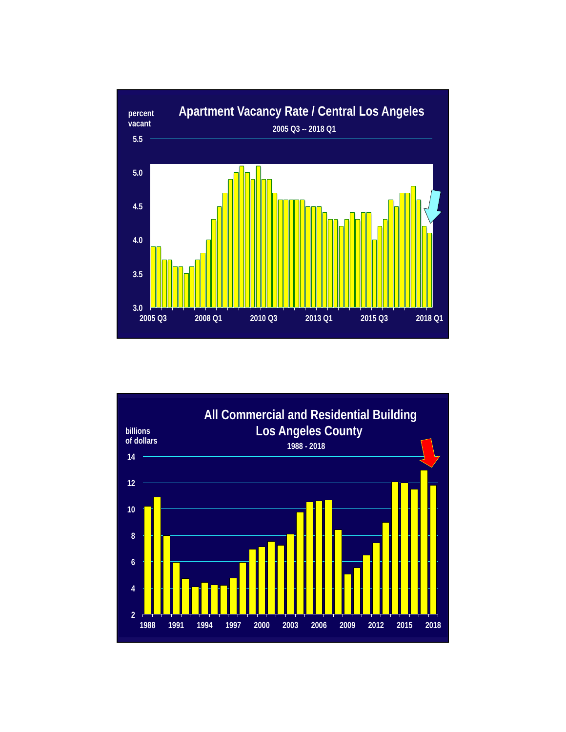

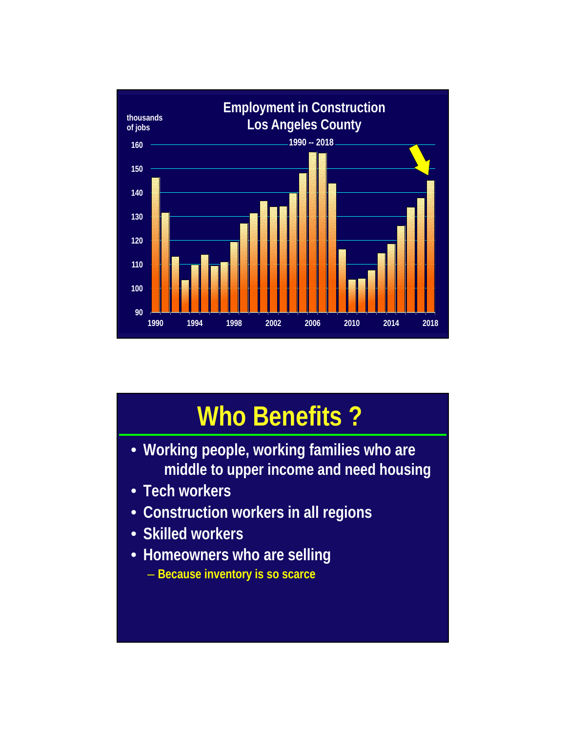

## **Who Benefits ?**

- **Working people, working families who are middle to upper income and need housing**
- **Tech workers**
- **Construction workers in all regions**
- **Skilled workers**
- **Homeowners who are selling** – **Because inventory is so scarce**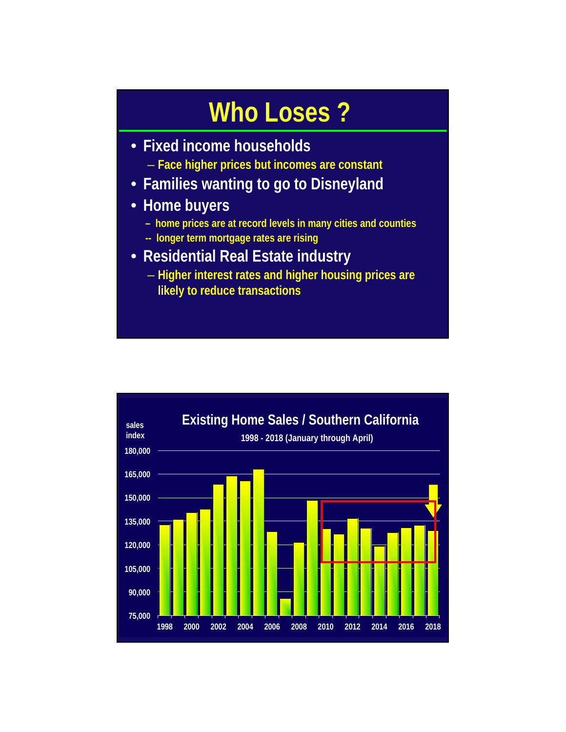## **Who Loses ?**

- **Fixed income households**
	- **Face higher prices but incomes are constant**
- **Families wanting to go to Disneyland**
- **Home buyers**
	- **home prices are at record levels in many cities and counties**
	- **-- longer term mortgage rates are rising**
- **Residential Real Estate industry** 
	- **Higher interest rates and higher housing prices are likely to reduce transactions**